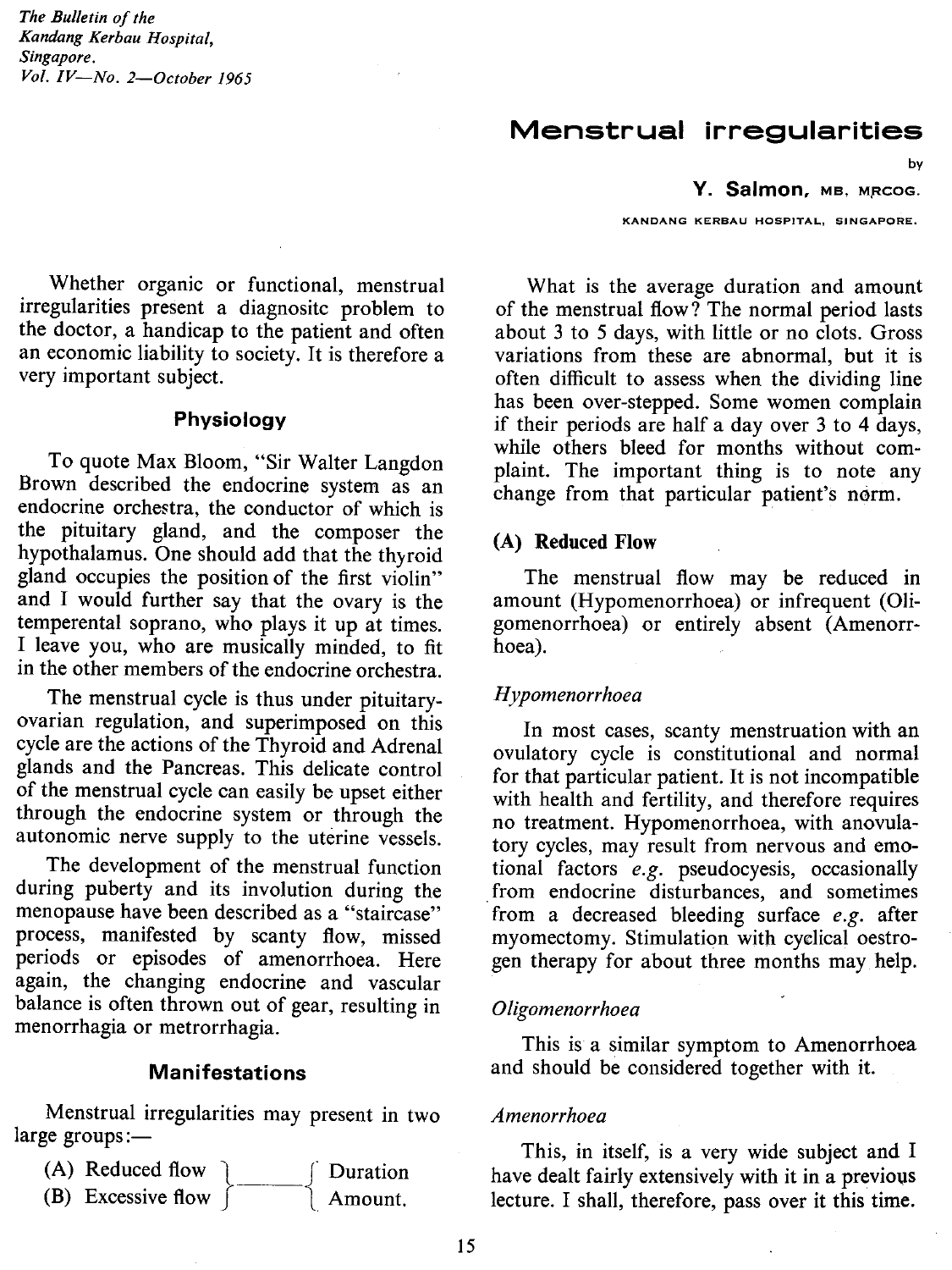*The Bulletin of the Kandang Kerbau Hospital, Singapore. Vol. IV-No. 2-0ctober 1965*

# Menstrual irregularities

by

Y. Salmon, MB, MRCOG.

KANDANG KERBAU HOSPITAL, SINGAPORE.

Whether organic or functional, menstrual irregularities present a diagnositc problem to the doctor, a handicap to the patient and often an economic liability to society. It is therefore a very important subject.

## Physiology

To quote Max Bloom, "Sir Walter Langdon Brown described the endocrine system as an endocrine orchestra, the conductor of which is the pituitary gland, and the composer the hypothalamus. One should add that the thyroid gland occupies the position of the first violin" and I would further say that the ovary is the temperental soprano, who plays it up at times. I leave you, who are musically minded, to fit in the other members of the endocrine orchestra.

The menstrual cycle is thus under pituitaryovarian regulation, and superimposed on this cycle are the actions of the Thyroid and Adrenal glands and the Pancreas. This delicate control of the menstrual cycle can easily be upset either through the endocrine system or through the autonomic nerve supply to the uterine vessels.

The development of the menstrual function during puberty and its involution during the menopause have been described as a "staircase" process, manifested by scanty flow, missed periods or episodes of amenorrhoea. Here again, the changing endocrine and vascular balance is often thrown out of gear, resulting in menorrhagia or metrorrhagia.

### **Manifestations**

Menstrual irregularities may present in two  $large groups:$ 



What is the average duration and amount of the menstrual flow? The normal period lasts about 3 to 5 days, with little or no clots. Gross variations from these are abnormal, but it is often difficult to assess when the dividing line has been over-stepped. Some women complain if their periods are half a day over 3 to 4 days, while others bleed for months without complaint. The important thing is to note any change from that particular patient's norm.

#### (A) **Reduced Flow**

The menstrual flow may be reduced in amount (Hypomenorrhoea) or infrequent (Oligomenorrhoea) or entirely absent (Amenorrhoea).

### *Hypomenorrhoea*

In most cases, scanty menstruation with an ovulatory cycle is constitutional and normal for that particular patient. It is not incompatible with health and fertility, and therefore requires no treatment. Hypomenorrhoea, with anovulatory cycles, may result from nervous and emotional factors *e.g.* pseudocyesis, occasionally from endocrine disturbances, and sometimes from a decreased bleeding surface *e.g.* after myomectomy. Stimulation with cyclical oestrogen therapy for about three months may help.

#### *OligoTnenorrhoea*

This is a similar symptom to Amenorrhoea and should be considered together with it.

#### *ATnenorrhoea*

This, in itself, is a very wide subject and I have dealt fairly extensively with it in a previous lecture. I shall, therefore, pass over it this time.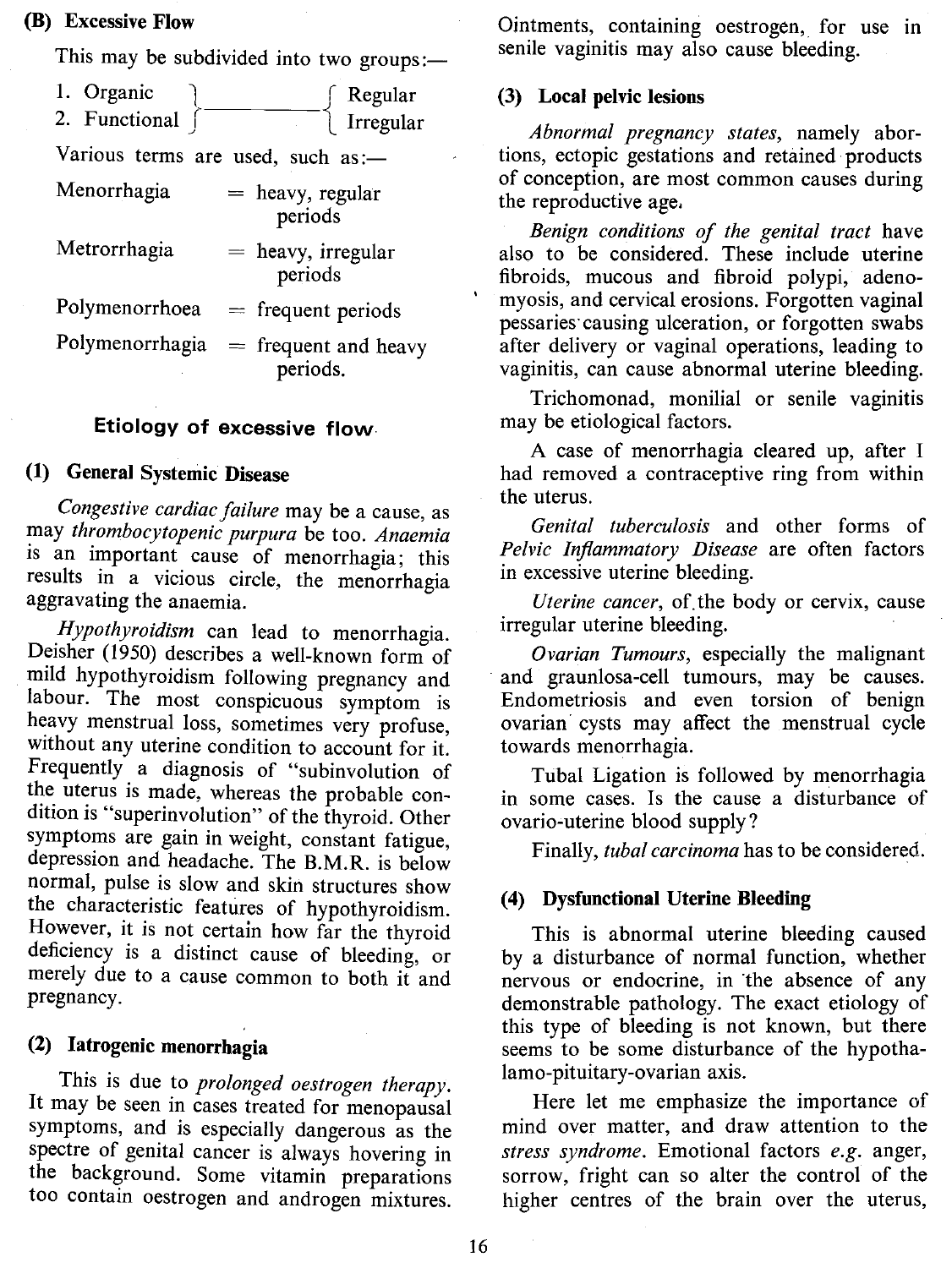## (B) Excessive Flow

|                                   | This may be subdivided into two groups:- |
|-----------------------------------|------------------------------------------|
| 1. Organic<br>2. Functional       | Regular<br>Irregular                     |
| Various terms are used, such as:- |                                          |
| Menorrhagia                       | $=$ heavy, regular<br>periods            |
| Metrorrhagia                      | $=$ heavy, irregular<br>periods          |
| Polymenorrhoea                    | $=$ frequent periods                     |
| Polymenorrhagia                   | $=$ frequent and heavy<br>periods.       |

### Etiology of excessive flow

### (1) General Systemic Disease

*Congestive cardiac failure* may be a cause, as may *thrombocytopenic purpura* be too. *Anaemia* is an important cause of menorrhagia; this results in a vicious circle, the menorrhagia aggravating the anaemia.

*.Hypothyroidism* can lead to menorrhagia. Deisher (1950) describes a well-known form of mild hypothyroidism following pregnancy and labour. The most conspicuous symptom is heavy menstrual loss, sometimes very profuse, without any uterine condition to account for it. Frequently a diagnosis of "subinvolution of the uterus is made, whereas the probable condition is "superinvolution" of the thyroid. Other symptoms are gain in weight, constant fatigue, depression and headache. The B.M.R. is below normal, pulse is slow and skin structures show the characteristic features of hypothyroidism. However, it is not certain how far the thyroid deficiency is a distinct cause of bleeding, or merely due to a cause common to both it and pregnancy.

### (2) Iatrogenic menorrhagia

This is due to *prolonged oestrogen therapy.* It may be seen in cases treated for menopausal symptoms, and is especially dangerous as the spectre of genital cancer is always hovering in the background. Some vitamin preparations too contain oestrogen and androgen mixtures.

Ointments, containing oestrogen, for use in senile vaginitis may also cause bleeding.

#### (3) Local pelvic lesions

*Abnormal pregnancy states,* namely abortions, ectopic gestations and retained· products of conception, are most common causes during the reproductive age.

*Benign conditions of the genital tract* have also to be considered. These include uterine fibroids, mucous and fibroid polypi, adeno myosis, and cervical erosions. Forgotten vaginal pessaries' causing ulceration, or forgotten swabs after delivery or vaginal operations, leading to vaginitis, can cause abnormal uterine bleeding.

Trichomonad, monilial or senile vaginitis may be etiological factors.

A case of menorrhagia cleared up, after I had removed a contraceptive ring from within the uterus.

*Genital tuberculosis* and other forms of *Pelvic lriflammatory Disease* are often factors in excessive uterine bleeding.

*Uterine cancer,* of. the body or cervix, cause irregular uterine bleeding.

*Ovarian Tumours,* especially the malignant . and graunlosa-cell tumours, may be causes. Endometriosis and even torsion of benign ovarian cysts may affect the menstrual cycle towards menorrhagia.

Tubal Ligation is followed by menorrhagia in some cases. Is the cause a disturbance of ovario-uterine blood supply?

Finally, *tubal carcinoma* has to be considered.

### (4) Dysfunctional Uterine Bleeding

This is abnormal uterine bleeding caused by a disturbance of normal function, whether nervous or endocrine, in the absence of any demonstrable pathology. The exact etiology of this type of bleeding is not known, but there seems to be some disturbance of the hypothalamo-pituitary-ovarian axis.

Here let me emphasize the importance of mind over matter, and draw attention to the *stress syndrome.* Emotional factors *e.g.* anger, sorrow, fright can so alter the control of the higher centres of the brain over the uterus,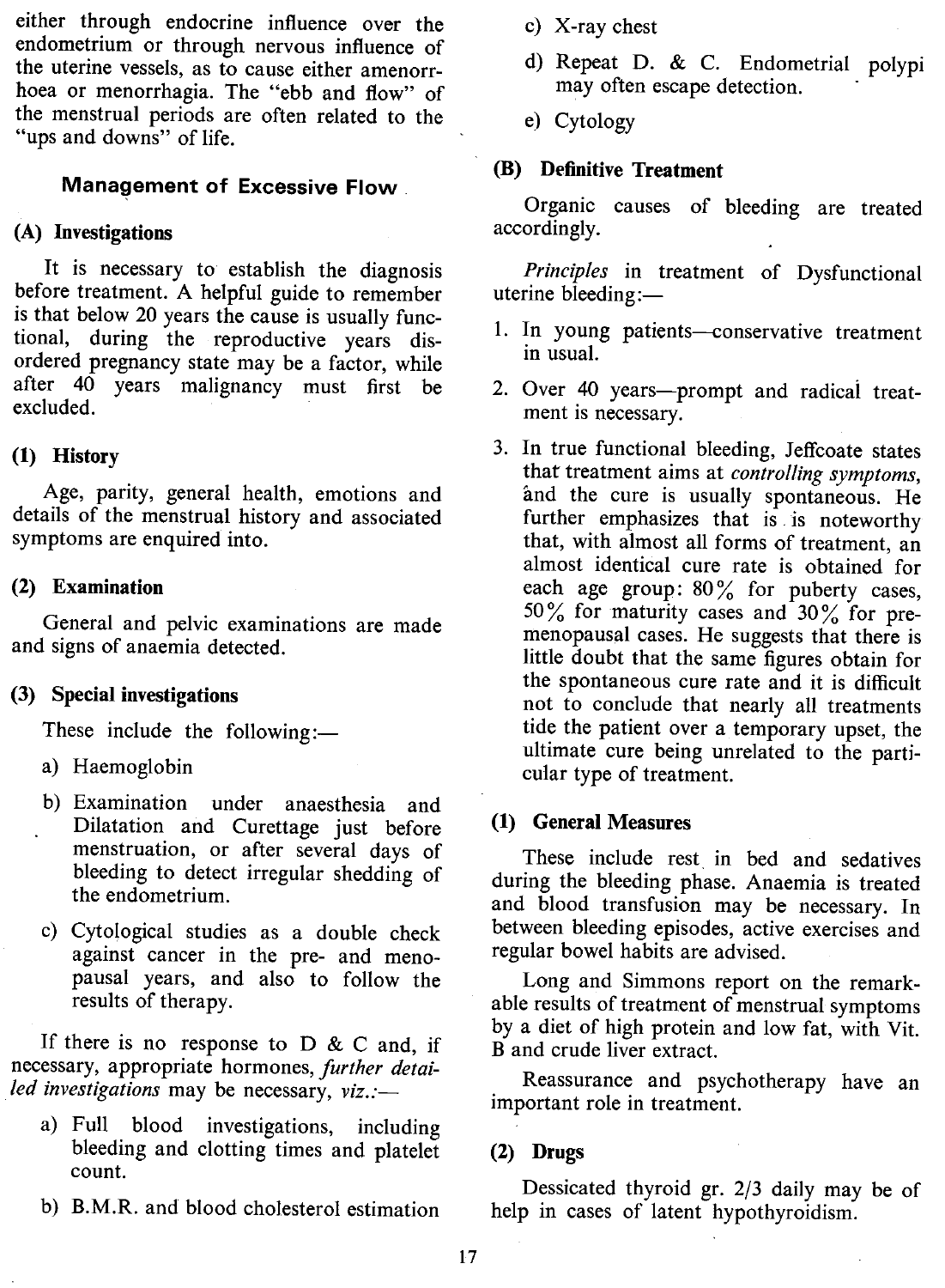either through endocrine influence over the endometrium or through nervous influence of the uterine vessels, as to cause either amenorrhoea or menorrhagia. The "ebb and flow" of the menstrual periods are often related to the "ups and downs" of life.

## **Management of Excessive Flow**

## (A) Investigations

It is necessary to establish the diagnosis before treatment. A helpful guide to remember is that below 20 years the cause is usually functional, during the reproductive years disordered pregnancy state may be a factor, while after 40 years malignancy must first be excluded. .

## (1) History

Age, parity, general health, emotions and details of the menstrual history and associated symptoms are enquired into.

### (2) Examination

General and pelvic examinations are made and signs of anaemia detected.

## (3) Special investigations

These include the following: $-$ 

- a) Haemoglobin
- b) Examination under anaesthesia and Dilatation and Curettage just before menstruation, or after several days of bleeding to detect irregular shedding of the endometrium.
- c) Cytological studies as a double check against cancer in the pre- and menopausal years, and also to follow the results of therapy.

If there is no response to  $D \& C$  and, if necessary, appropriate hormones, *further detailed investigations* may be necessary, *viz.:-*

- a) Full blood investigations, including bleeding and clotting times and platelet count.
- b) B.M.R. and blood cholesterol estimation
- c) X-ray chest
- d) Repeat D. & C. Endometrial polypi may often escape detection.
- e) Cytology

### (B) Definitive Treatment

Organic causes of bleeding are treated accordingly.

*Principles* in treatment of Dysfunctional uterine bleeding: $-$ 

- 1. In young patients-conservative treatment in usual.
- 2. Over 40 years—prompt and radical treatment is necessary.
- 3. In true functional bleeding, Jeffcoate states that treatment aims at *controlling symptoms,* and the cure is usually spontaneous. He further emphasizes that is is noteworthy that, with almost all forms of treatment, an almost identical cure rate is obtained for each age group:  $80\%$  for puberty cases, 50% for maturity cases and  $30\%$  for premenopausal cases. He suggests that there is little doubt that the same figures obtain for the spontaneous cure rate and it is difficult not to conclude that nearly all treatments tide the patient over a temporary upset, the ultimate cure being unrelated to the particular type of treatment.

#### (1) General Measures

These include rest. in bed and sedatives during the bleeding phase. Anaemia is treated and blood transfusion may be necessary. In between bleeding episodes, active exercises and regular bowel habits are advised.

Long and Simmons report on the remarkable results of treatment of menstrual symptoms by a diet of high protein and low fat, with Vit. B and crude liver extract.

Reassurance and psychotherapy have an important role in treatment.

### (2) Drugs

Dessicated thyroid gr. 2/3 daily may be of help in cases of latent hypothyroidism.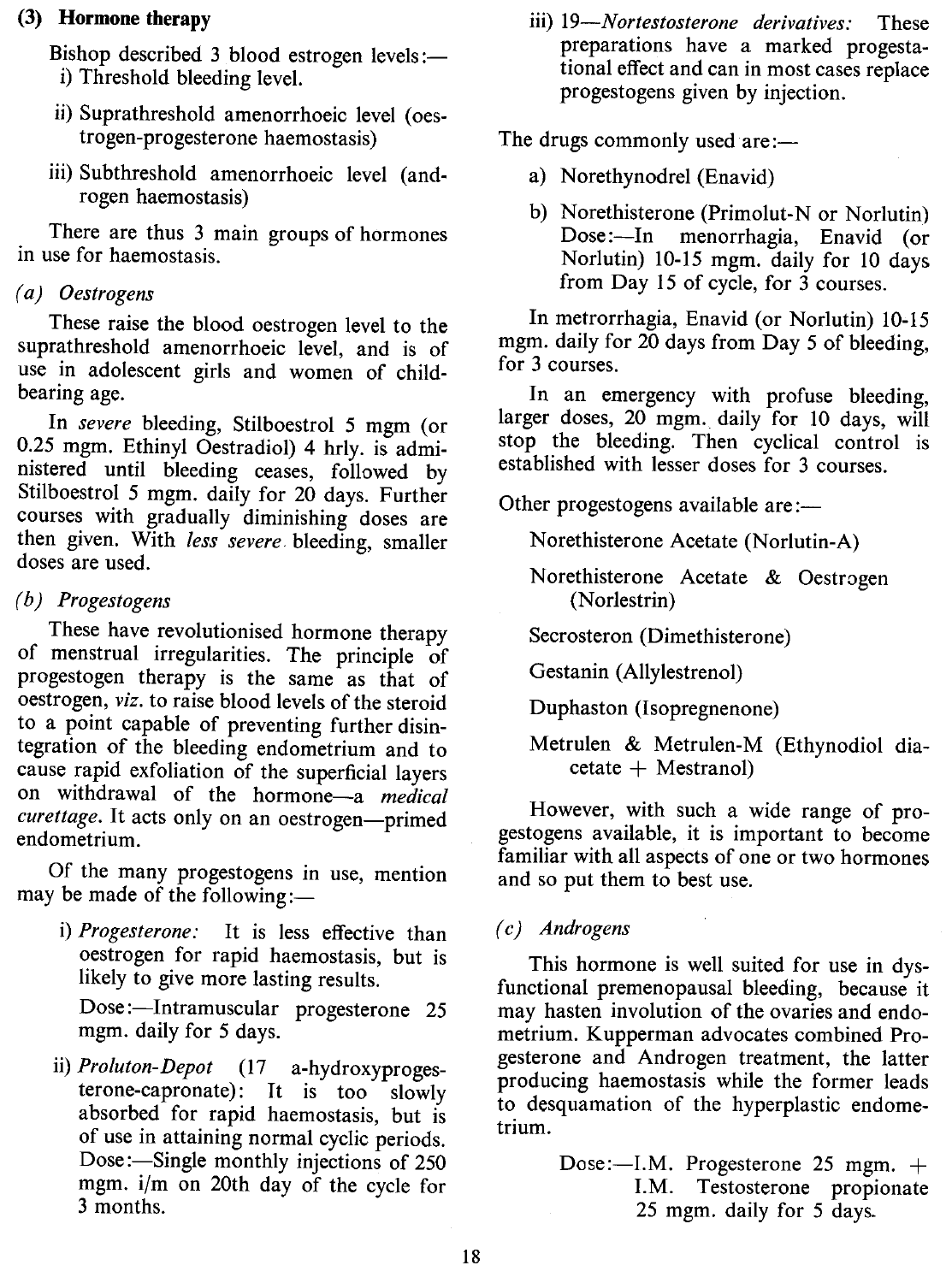## (3) **Hormone therapy**

Bishop described 3 blood estrogen levels:i) Threshold bleeding level.

- ii) Suprathreshold amenorrhoeic level (oestrogen-progesterone haemostasis)
- iii) Subthreshold amenorrhoeic level (androgen haemostasis)

There are thus 3 main groups of hormones in use for haemostasis.

## *(a) Oestrogens*

These raise the blood oestrogen level to the suprathreshold amenorrhoeic level, and is of use in adolescent girls and women of childbearing age.

In *severe* bleeding, Stilboestrol 5 mgm (or 0.25 mgm. Ethinyl Oestradiol) 4 hrly. is administered until bleeding ceases, followed by Stilboestrol 5 mgm. daily for 20 days. Further courses with gradually diminishing doses are then given. With *less severe.* bleeding, smaller doses are used.

## *(b) Progestogens*

These have revolutionised hormone therapy of menstrual irregularities. The principle of progestogen therapy is the same as that of oestrogen, *viz.* to raise blood levels of the steroid to a point capable of preventing further disintegration of the bleeding endometrium and to cause rapid exfoliation of the superficial layers on withdrawal of the hormone-a *medical* curettage. It acts only on an oestrogen-primed endometrium.

Of the many progestogens in use, mention may be made of the following:-

i) *Progesterone:* It is less effective than oestrogen for rapid haemostasis, but is likely to give more lasting results.

Dose:-Intramuscular progesterone 25 mgm. daily for 5 days.

ii) *Proluton-Depot* (17 a-hydroxyprogesterone-capronate): It is too slowly absorbed for rapid haemostasis, but is of use in attaining normal cyclic periods. Dose:—Single monthly injections of 250 mgm. i/m on 20th day of the cycle for 3 months.

iii) *19-Nortestosterone derivatives:* These preparations have a marked progestational effect and can in most cases replace progestogens given by injection.

The drugs commonly used are:-

- a) Norethynodrel (Enavid)
- b) Norethisterone (Primolut-N or Norlutin) Dose:-In menorrhagia, Enavid (or Norlutin) 10-15 mgm. daily for 10 days from Day 15 of cycle, for 3 courses.

In metrorrhagia, Enavid (or Norlutin) 10-15 mgm. daily for 20 days from Day 5 of bleeding, for 3 courses.

In an emergency with profuse bleeding, larger doses, 20 mgm. daily for 10 days, will stop the bleeding. Then cyclical control is established with lesser doses for 3 courses.

Other progestogens available are:—

Norethisterone Acetate (Norlutin-A)

Norethisterone Acetate & Oestrogen (Norlestrin)

Secrosteron (Dimethisterone)

Gestanin (Allylestrenol)

Duphaston (Isopregnenone)

Metrulen & Metrulen-M (Ethynodiol dia $ceta + Mestranol$ 

However, with such a wide range of progestogens available, it is important to become familiar with all aspects of one or two hormones and so put them to best use.

## (c) *Androgens*

This hormone is well suited for use in dysfunctional premenopausal bleeding, because it may hasten involution of the ovaries and endometrium. Kupperman advocates combined Progesterone and Androgen treatment, the latter producing haemostasis while the former leads to desquamation of the hyperplastic endometrium.

> Dose:--I.M. Progesterone 25 mgm. + I.M. Testosterone propionate 25 mgm. daily for 5 days.